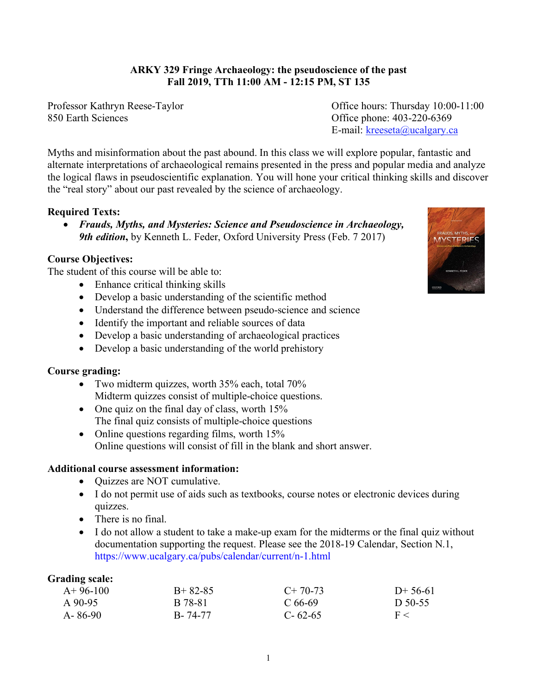# **ARKY 329 Fringe Archaeology: the pseudoscience of the past Fall 2019, TTh 11:00 AM - 12:15 PM, ST 135**

850 Earth Sciences Office phone: 403-220-6369

Professor Kathryn Reese-Taylor Office hours: Thursday 10:00-11:00 E-mail: kreeseta@ucalgary.ca

Myths and misinformation about the past abound. In this class we will explore popular, fantastic and alternate interpretations of archaeological remains presented in the press and popular media and analyze the logical flaws in pseudoscientific explanation. You will hone your critical thinking skills and discover the "real story" about our past revealed by the science of archaeology.

## **Required Texts:**

• *Frauds, Myths, and Mysteries: Science and Pseudoscience in Archaeology, 9th edition***,** by Kenneth L. Feder, Oxford University Press (Feb. 7 2017)

### **Course Objectives:**

The student of this course will be able to:

- Enhance critical thinking skills
- Develop a basic understanding of the scientific method
- Understand the difference between pseudo-science and science
- Identify the important and reliable sources of data
- Develop a basic understanding of archaeological practices
- Develop a basic understanding of the world prehistory

### **Course grading:**

- Two midterm quizzes, worth 35% each, total 70% Midterm quizzes consist of multiple-choice questions.
- One quiz on the final day of class, worth 15% The final quiz consists of multiple-choice questions
- Online questions regarding films, worth 15% Online questions will consist of fill in the blank and short answer.

### **Additional course assessment information:**

- Quizzes are NOT cumulative.
- I do not permit use of aids such as textbooks, course notes or electronic devices during quizzes.
- There is no final.
- I do not allow a student to take a make-up exam for the midterms or the final quiz without documentation supporting the request. Please see the 2018-19 Calendar, Section N.1, https://www.ucalgary.ca/pubs/calendar/current/n-1.html

| <b>Grading scale:</b> |           |               |           |
|-----------------------|-----------|---------------|-----------|
| $A+96-100$            | $B+82-85$ | $C+70-73$     | $D+56-61$ |
| $A$ 90-95             | B 78-81   | $C$ 66-69     | D $50-55$ |
| $A - 86-90$           | B-74-77   | $C - 62 - 65$ | F <       |

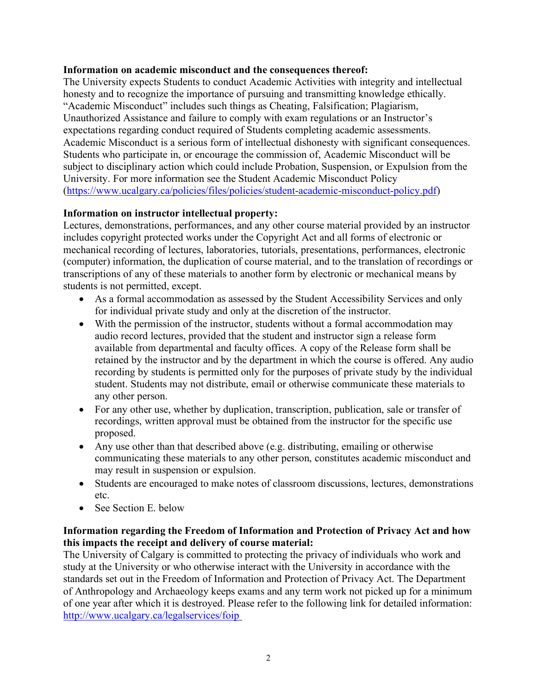## **Information on academic misconduct and the consequences thereof:**

The University expects Students to conduct Academic Activities with integrity and intellectual honesty and to recognize the importance of pursuing and transmitting knowledge ethically. "Academic Misconduct" includes such things as Cheating, Falsification; Plagiarism, Unauthorized Assistance and failure to comply with exam regulations or an Instructor's expectations regarding conduct required of Students completing academic assessments. Academic Misconduct is a serious form of intellectual dishonesty with significant consequences. Students who participate in, or encourage the commission of, Academic Misconduct will be subject to disciplinary action which could include Probation, Suspension, or Expulsion from the University. For more information see the Student Academic Misconduct Policy (https://www.ucalgary.ca/policies/files/policies/student-academic-misconduct-policy.pdf)

# **Information on instructor intellectual property:**

Lectures, demonstrations, performances, and any other course material provided by an instructor includes copyright protected works under the Copyright Act and all forms of electronic or mechanical recording of lectures, laboratories, tutorials, presentations, performances, electronic (computer) information, the duplication of course material, and to the translation of recordings or transcriptions of any of these materials to another form by electronic or mechanical means by students is not permitted, except.

- As a formal accommodation as assessed by the Student Accessibility Services and only for individual private study and only at the discretion of the instructor.
- With the permission of the instructor, students without a formal accommodation may audio record lectures, provided that the student and instructor sign a release form available from departmental and faculty offices. A copy of the Release form shall be retained by the instructor and by the department in which the course is offered. Any audio recording by students is permitted only for the purposes of private study by the individual student. Students may not distribute, email or otherwise communicate these materials to any other person.
- For any other use, whether by duplication, transcription, publication, sale or transfer of recordings, written approval must be obtained from the instructor for the specific use proposed.
- Any use other than that described above (e.g. distributing, emailing or otherwise communicating these materials to any other person, constitutes academic misconduct and may result in suspension or expulsion.
- Students are encouraged to make notes of classroom discussions, lectures, demonstrations etc.
- See Section E. below

# **Information regarding the Freedom of Information and Protection of Privacy Act and how this impacts the receipt and delivery of course material:**

The University of Calgary is committed to protecting the privacy of individuals who work and study at the University or who otherwise interact with the University in accordance with the standards set out in the Freedom of Information and Protection of Privacy Act. The Department of Anthropology and Archaeology keeps exams and any term work not picked up for a minimum of one year after which it is destroyed. Please refer to the following link for detailed information: http://www.ucalgary.ca/legalservices/foip